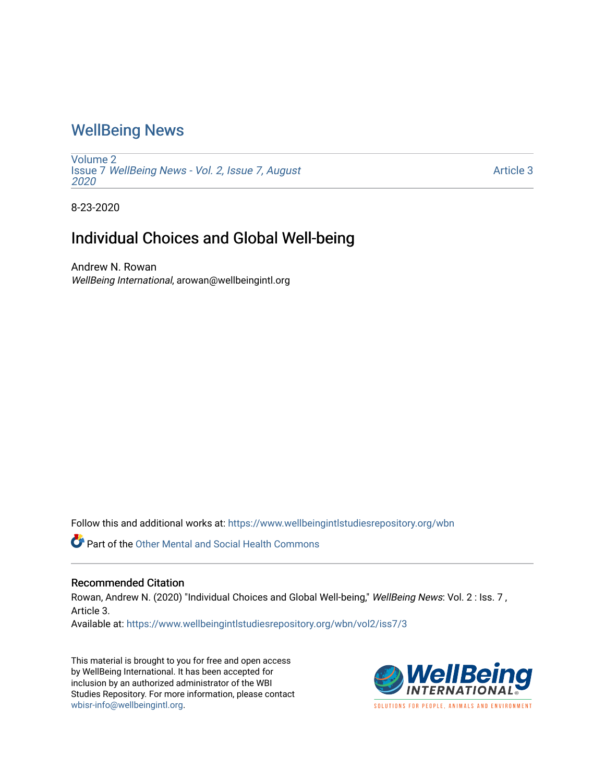## [WellBeing News](https://www.wellbeingintlstudiesrepository.org/wbn)

[Volume 2](https://www.wellbeingintlstudiesrepository.org/wbn/vol2) Issue 7 [WellBeing News - Vol. 2, Issue 7, August](https://www.wellbeingintlstudiesrepository.org/wbn/vol2/iss7) [2020](https://www.wellbeingintlstudiesrepository.org/wbn/vol2/iss7) 

[Article 3](https://www.wellbeingintlstudiesrepository.org/wbn/vol2/iss7/3) 

8-23-2020

## Individual Choices and Global Well-being

Andrew N. Rowan WellBeing International, arowan@wellbeingintl.org

Follow this and additional works at: [https://www.wellbeingintlstudiesrepository.org/wbn](https://www.wellbeingintlstudiesrepository.org/wbn?utm_source=www.wellbeingintlstudiesrepository.org%2Fwbn%2Fvol2%2Fiss7%2F3&utm_medium=PDF&utm_campaign=PDFCoverPages)

**Part of the Other Mental and Social Health Commons** 

#### Recommended Citation

Rowan, Andrew N. (2020) "Individual Choices and Global Well-being," WellBeing News: Vol. 2 : Iss. 7, Article 3.

Available at: [https://www.wellbeingintlstudiesrepository.org/wbn/vol2/iss7/3](https://www.wellbeingintlstudiesrepository.org/wbn/vol2/iss7/3?utm_source=www.wellbeingintlstudiesrepository.org%2Fwbn%2Fvol2%2Fiss7%2F3&utm_medium=PDF&utm_campaign=PDFCoverPages)

This material is brought to you for free and open access by WellBeing International. It has been accepted for inclusion by an authorized administrator of the WBI Studies Repository. For more information, please contact [wbisr-info@wellbeingintl.org](mailto:wbisr-info@wellbeingintl.org).

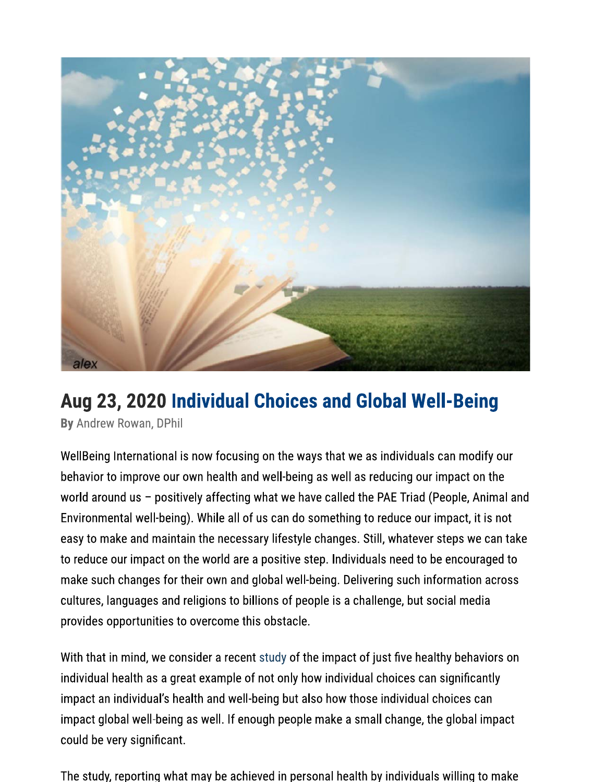

# Aug 23, 2020 Individual Choices and Global Well-Being

By Andrew Rowan, DPhil

WellBeing International is now focusing on the ways that we as individuals can modify our behavior to improve our own health and well-being as well as reducing our impact on the world around us - positively affecting what we have called the PAE Triad (People, Animal and Environmental well-being). While all of us can do something to reduce our impact, it is not easy to make and maintain the necessary lifestyle changes. Still, whatever steps we can take to reduce our impact on the world are a positive step. Individuals need to be encouraged to make such changes for their own and global well-being. Delivering such information across cultures, languages and religions to billions of people is a challenge, but social media provides opportunities to overcome this obstacle.

With that in mind, we consider a recent study of the impact of just five healthy behaviors on individual health as a great example of not only how individual choices can significantly impact an individual's health and well-being but also how those individual choices can impact global well-being as well. If enough people make a small change, the global impact could be very significant.

The study, reporting what may be achieved in personal health by individuals willing to make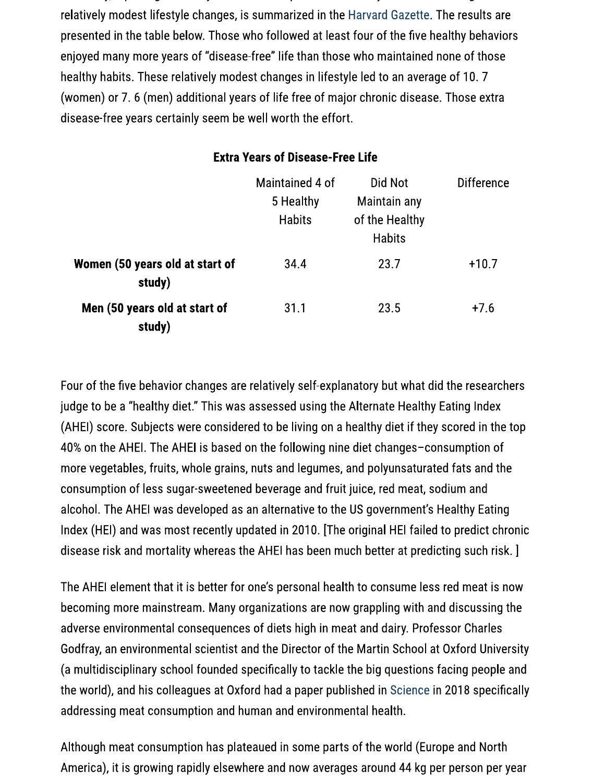relatively modest lifestyle changes, is summarized in the Harvard Gazette. The results are presented in the table below. Those who followed at least four of the five healthy behaviors enjoyed many more years of "disease-free" life than those who maintained none of those healthy habits. These relatively modest changes in lifestyle led to an average of 10.7 (women) or 7. 6 (men) additional years of life free of major chronic disease. Those extra disease-free years certainly seem be well worth the effort.

|                                           | Maintained 4 of<br>5 Healthy<br><b>Habits</b> | Did Not<br>Maintain any<br>of the Healthy<br><b>Habits</b> | <b>Difference</b> |
|-------------------------------------------|-----------------------------------------------|------------------------------------------------------------|-------------------|
| Women (50 years old at start of<br>study) | 34.4                                          | 23.7                                                       | $+10.7$           |
| Men (50 years old at start of<br>study)   | 31.1                                          | 23.5                                                       | $+7.6$            |

### **Extra Years of Disease-Free Life**

Four of the five behavior changes are relatively self-explanatory but what did the researchers judge to be a "healthy diet." This was assessed using the Alternate Healthy Eating Index (AHEI) score. Subjects were considered to be living on a healthy diet if they scored in the top 40% on the AHEI. The AHEI is based on the following nine diet changes-consumption of more vegetables, fruits, whole grains, nuts and legumes, and polyunsaturated fats and the consumption of less sugar-sweetened beverage and fruit juice, red meat, sodium and alcohol. The AHEI was developed as an alternative to the US government's Healthy Eating Index (HEI) and was most recently updated in 2010. [The original HEI failed to predict chronic disease risk and mortality whereas the AHEI has been much better at predicting such risk. ]

The AHEI element that it is better for one's personal health to consume less red meat is now becoming more mainstream. Many organizations are now grappling with and discussing the adverse environmental consequences of diets high in meat and dairy. Professor Charles Godfray, an environmental scientist and the Director of the Martin School at Oxford University (a multidisciplinary school founded specifically to tackle the big questions facing people and the world), and his colleagues at Oxford had a paper published in Science in 2018 specifically addressing meat consumption and human and environmental health.

Although meat consumption has plateaued in some parts of the world (Europe and North America), it is growing rapidly elsewhere and now averages around 44 kg per person per year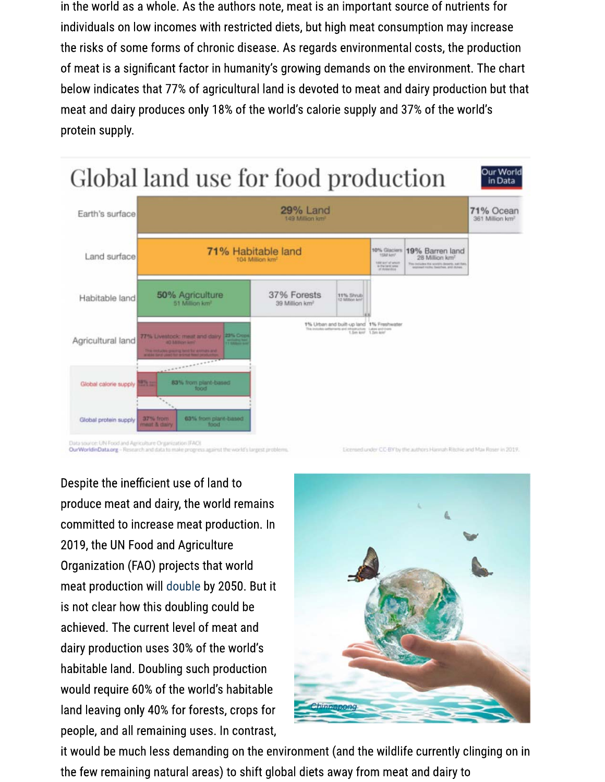in the world as a whole. As the authors note, meat is an important source of nutrients for individuals on low incomes with restricted diets, but high meat consumption may increase the risks of some forms of chronic disease. As regards environmental costs, the production of meat is a significant factor in humanity's growing demands on the environment. The chart below indicates that 77% of agricultural land is devoted to meat and dairy production but that meat and dairy produces only 18% of the world's calorie supply and 37% of the world's protein supply.



Despite the inefficient use of land to produce meat and dairy, the world remains committed to increase meat production. In 2019, the UN Food and Agriculture Organization (FAO) projects that world meat production will double by 2050. But it is not clear how this doubling could be achieved. The current level of meat and dairy production uses 30% of the world's habitable land. Doubling such production would require 60% of the world's habitable land leaving only 40% for forests, crops for people, and all remaining uses. In contrast,



it would be much less demanding on the environment (and the wildlife currently clinging on in the few remaining natural areas) to shift global diets away from meat and dairy to